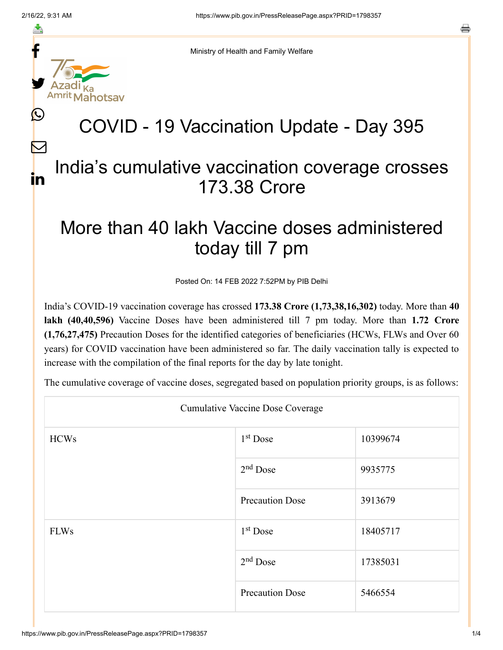f

≛

y.

L

 $\bm{\nabla}$ 

in



## COVID - 19 Vaccination Update - Day 395

## India's cumulative vaccination coverage crosses 173.38 Crore

## More than 40 lakh Vaccine doses administered today till 7 pm

Posted On: 14 FEB 2022 7:52PM by PIB Delhi

India's COVID-19 vaccination coverage has crossed **173.38 Crore (1,73,38,16,302)** today. More than **40 lakh (40,40,596)** Vaccine Doses have been administered till 7 pm today. More than **1.72 Crore (1,76,27,475)** Precaution Doses for the identified categories of beneficiaries (HCWs, FLWs and Over 60 years) for COVID vaccination have been administered so far. The daily vaccination tally is expected to increase with the compilation of the final reports for the day by late tonight.

The cumulative coverage of vaccine doses, segregated based on population priority groups, is as follows:

| <b>Cumulative Vaccine Dose Coverage</b> |                        |          |  |
|-----------------------------------------|------------------------|----------|--|
| <b>HCWs</b>                             | $1st$ Dose             | 10399674 |  |
|                                         | $2nd$ Dose             | 9935775  |  |
|                                         | <b>Precaution Dose</b> | 3913679  |  |
| <b>FLWs</b>                             | $1st$ Dose             | 18405717 |  |
|                                         | $2nd$ Dose             | 17385031 |  |
|                                         | <b>Precaution Dose</b> | 5466554  |  |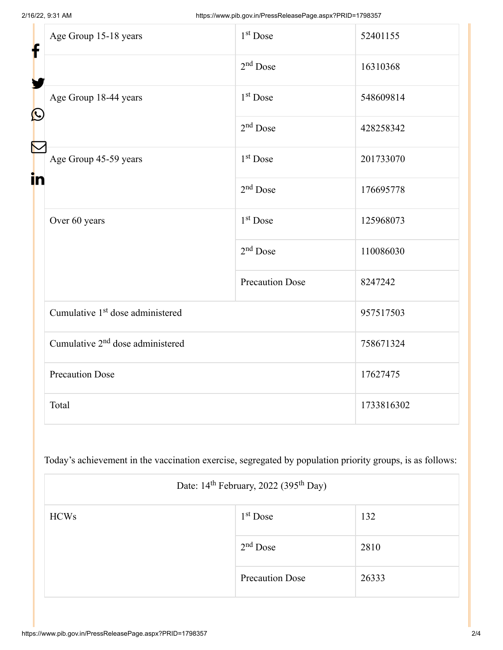| f<br>$\bf \Omega$ | Age Group 15-18 years                        | $1st$ Dose             | 52401155   |
|-------------------|----------------------------------------------|------------------------|------------|
|                   |                                              | $2nd$ Dose             | 16310368   |
|                   | Age Group 18-44 years                        | 1 <sup>st</sup> Dose   | 548609814  |
|                   |                                              | $2nd$ Dose             | 428258342  |
| in                | Age Group 45-59 years                        | $1st$ Dose             | 201733070  |
|                   |                                              | $2nd$ Dose             | 176695778  |
|                   | Over 60 years                                | 1 <sup>st</sup> Dose   | 125968073  |
|                   |                                              | $2nd$ Dose             | 110086030  |
|                   |                                              | <b>Precaution Dose</b> | 8247242    |
|                   | Cumulative 1 <sup>st</sup> dose administered |                        | 957517503  |
|                   | Cumulative 2 <sup>nd</sup> dose administered |                        | 758671324  |
|                   | <b>Precaution Dose</b>                       |                        | 17627475   |
|                   | Total                                        |                        | 1733816302 |

Today's achievement in the vaccination exercise, segregated by population priority groups, is as follows:

| Date: 14 <sup>th</sup> February, 2022 (395 <sup>th</sup> Day) |                        |       |  |
|---------------------------------------------------------------|------------------------|-------|--|
| <b>HCWs</b>                                                   | $1st$ Dose             | 132   |  |
|                                                               | $2nd$ Dose             | 2810  |  |
|                                                               | <b>Precaution Dose</b> | 26333 |  |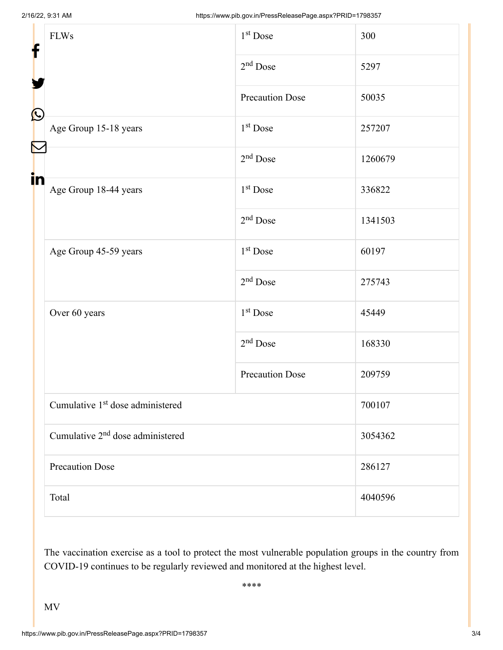| f<br>$\bf \Omega$ | <b>FLWs</b>                                  | 1 <sup>st</sup> Dose   | 300     |
|-------------------|----------------------------------------------|------------------------|---------|
|                   |                                              | $2nd$ Dose             | 5297    |
|                   |                                              | <b>Precaution Dose</b> | 50035   |
|                   | Age Group 15-18 years                        | 1 <sup>st</sup> Dose   | 257207  |
|                   |                                              | $2nd$ Dose             | 1260679 |
| in                | Age Group 18-44 years                        | 1 <sup>st</sup> Dose   | 336822  |
|                   |                                              | $2nd$ Dose             | 1341503 |
|                   | Age Group 45-59 years                        | 1 <sup>st</sup> Dose   | 60197   |
|                   |                                              | $2nd$ Dose             | 275743  |
|                   | Over 60 years                                | 1 <sup>st</sup> Dose   | 45449   |
|                   |                                              | $2nd$ Dose             | 168330  |
|                   |                                              | <b>Precaution Dose</b> | 209759  |
|                   | Cumulative 1 <sup>st</sup> dose administered |                        | 700107  |
|                   | Cumulative 2 <sup>nd</sup> dose administered |                        | 3054362 |
|                   | <b>Precaution Dose</b>                       |                        | 286127  |
|                   | Total                                        |                        | 4040596 |

The vaccination exercise as a tool to protect the most vulnerable population groups in the country from COVID-19 continues to be regularly reviewed and monitored at the highest level.

\*\*\*\*

MV